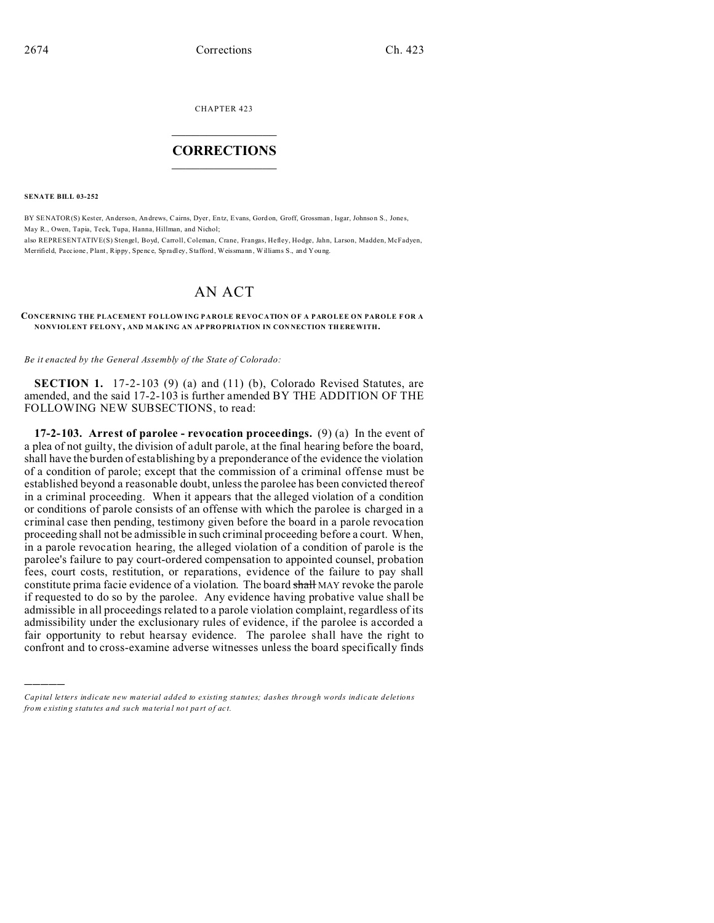CHAPTER 423  $\overline{\phantom{a}}$  , where  $\overline{\phantom{a}}$ 

## **CORRECTIONS**  $\frac{1}{2}$  ,  $\frac{1}{2}$  ,  $\frac{1}{2}$  ,  $\frac{1}{2}$  ,  $\frac{1}{2}$  ,  $\frac{1}{2}$

**SENATE BILL 03-252**

)))))

BY SENATOR(S) Kester, Anderson, An drews, Cairns, Dyer, Entz, Evans, Gord on, Groff, Grossman , Isgar, Johnson S., Jones, May R., Owen, Tapia, Teck, Tupa, Hanna, Hillman, and Nichol; also REPRESENTATIVE(S) Stengel, Boyd, Carroll, Coleman, Crane, Frangas, Hefley, Hodge, Jahn, Larson, Madden, McFadyen, Merrifield, Paccione, Plant, Rippy, Spence, Spradley, Stafford, Weissmann, Williams S., and Young.

# AN ACT

#### **CONCERNING THE PLACEMENT FO LLOW ING PAROLE REVOCATION OF A PAROLEE ON PAROLE F OR A NONVIOLENT FELONY , AND MAK ING AN AP PRO PRIATION IN CON NECTION TH EREWITH.**

*Be it enacted by the General Assembly of the State of Colorado:*

**SECTION 1.** 17-2-103 (9) (a) and (11) (b), Colorado Revised Statutes, are amended, and the said 17-2-103 is further amended BY THE ADDITION OF THE FOLLOWING NEW SUBSECTIONS, to read:

**17-2-103. Arrest of parolee - revocation proceedings.** (9) (a) In the event of a plea of not guilty, the division of adult parole, at the final hearing before the board, shall have the burden of establishing by a preponderance of the evidence the violation of a condition of parole; except that the commission of a criminal offense must be established beyond a reasonable doubt, unless the parolee has been convicted thereof in a criminal proceeding. When it appears that the alleged violation of a condition or conditions of parole consists of an offense with which the parolee is charged in a criminal case then pending, testimony given before the board in a parole revocation proceeding shall not be admissible in such criminal proceeding before a court. When, in a parole revocation hearing, the alleged violation of a condition of parole is the parolee's failure to pay court-ordered compensation to appointed counsel, probation fees, court costs, restitution, or reparations, evidence of the failure to pay shall constitute prima facie evidence of a violation. The board shall MAY revoke the parole if requested to do so by the parolee. Any evidence having probative value shall be admissible in all proceedings related to a parole violation complaint, regardless of its admissibility under the exclusionary rules of evidence, if the parolee is accorded a fair opportunity to rebut hearsay evidence. The parolee shall have the right to confront and to cross-examine adverse witnesses unless the board specifically finds

*Capital letters indicate new material added to existing statutes; dashes through words indicate deletions from e xistin g statu tes a nd such ma teria l no t pa rt of ac t.*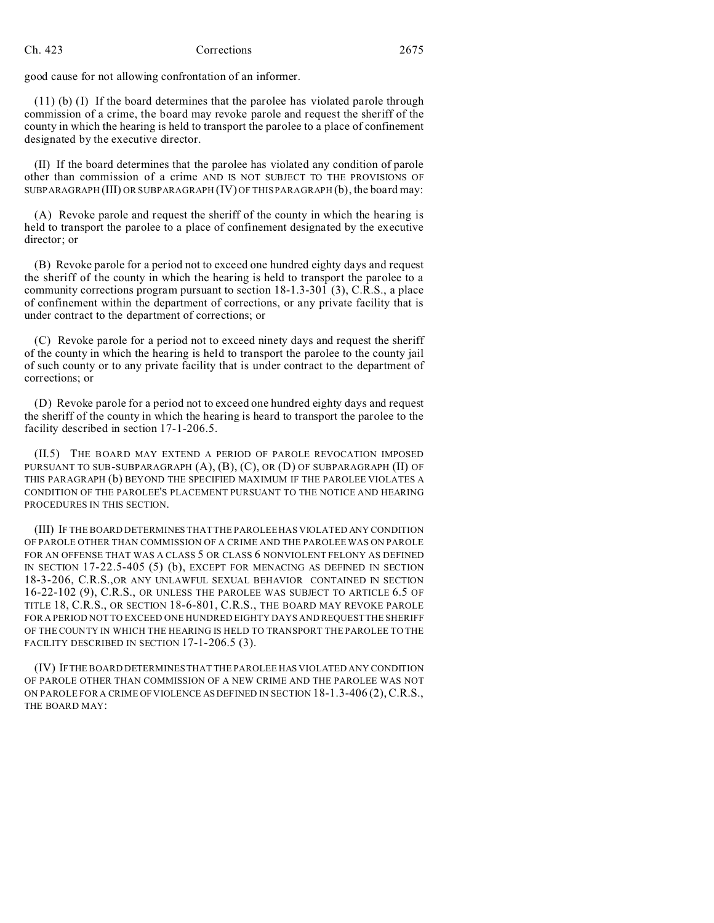### Ch. 423 Corrections 2675

good cause for not allowing confrontation of an informer.

(11) (b) (I) If the board determines that the parolee has violated parole through commission of a crime, the board may revoke parole and request the sheriff of the county in which the hearing is held to transport the parolee to a place of confinement designated by the executive director.

(II) If the board determines that the parolee has violated any condition of parole other than commission of a crime AND IS NOT SUBJECT TO THE PROVISIONS OF SUBPARAGRAPH (III) OR SUBPARAGRAPH (IV) OF THIS PARAGRAPH (b), the board may:

(A) Revoke parole and request the sheriff of the county in which the hearing is held to transport the parolee to a place of confinement designated by the executive director; or

(B) Revoke parole for a period not to exceed one hundred eighty days and request the sheriff of the county in which the hearing is held to transport the parolee to a community corrections program pursuant to section 18-1.3-301 (3), C.R.S., a place of confinement within the department of corrections, or any private facility that is under contract to the department of corrections; or

(C) Revoke parole for a period not to exceed ninety days and request the sheriff of the county in which the hearing is held to transport the parolee to the county jail of such county or to any private facility that is under contract to the department of corrections; or

(D) Revoke parole for a period not to exceed one hundred eighty days and request the sheriff of the county in which the hearing is heard to transport the parolee to the facility described in section 17-1-206.5.

(II.5) THE BOARD MAY EXTEND A PERIOD OF PAROLE REVOCATION IMPOSED PURSUANT TO SUB-SUBPARAGRAPH (A), (B), (C), OR (D) OF SUBPARAGRAPH (II) OF THIS PARAGRAPH (b) BEYOND THE SPECIFIED MAXIMUM IF THE PAROLEE VIOLATES A CONDITION OF THE PAROLEE'S PLACEMENT PURSUANT TO THE NOTICE AND HEARING PROCEDURES IN THIS SECTION.

(III) IF THE BOARD DETERMINES THAT THE PAROLEE HAS VIOLATED ANY CONDITION OF PAROLE OTHER THAN COMMISSION OF A CRIME AND THE PAROLEE WAS ON PAROLE FOR AN OFFENSE THAT WAS A CLASS 5 OR CLASS 6 NONVIOLENT FELONY AS DEFINED IN SECTION 17-22.5-405 (5) (b), EXCEPT FOR MENACING AS DEFINED IN SECTION 18-3-206, C.R.S.,OR ANY UNLAWFUL SEXUAL BEHAVIOR CONTAINED IN SECTION 16-22-102 (9), C.R.S., OR UNLESS THE PAROLEE WAS SUBJECT TO ARTICLE 6.5 OF TITLE 18, C.R.S., OR SECTION 18-6-801, C.R.S., THE BOARD MAY REVOKE PAROLE FOR A PERIOD NOT TO EXCEED ONE HUNDRED EIGHTY DAYS AND REQUEST THE SHERIFF OF THE COUNTY IN WHICH THE HEARING IS HELD TO TRANSPORT THE PAROLEE TO THE FACILITY DESCRIBED IN SECTION 17-1-206.5 (3).

(IV) IFTHE BOARD DETERMINES THAT THE PAROLEE HAS VIOLATED ANY CONDITION OF PAROLE OTHER THAN COMMISSION OF A NEW CRIME AND THE PAROLEE WAS NOT ON PAROLE FOR A CRIME OF VIOLENCE AS DEFINED IN SECTION 18-1.3-406 (2),C.R.S., THE BOARD MAY: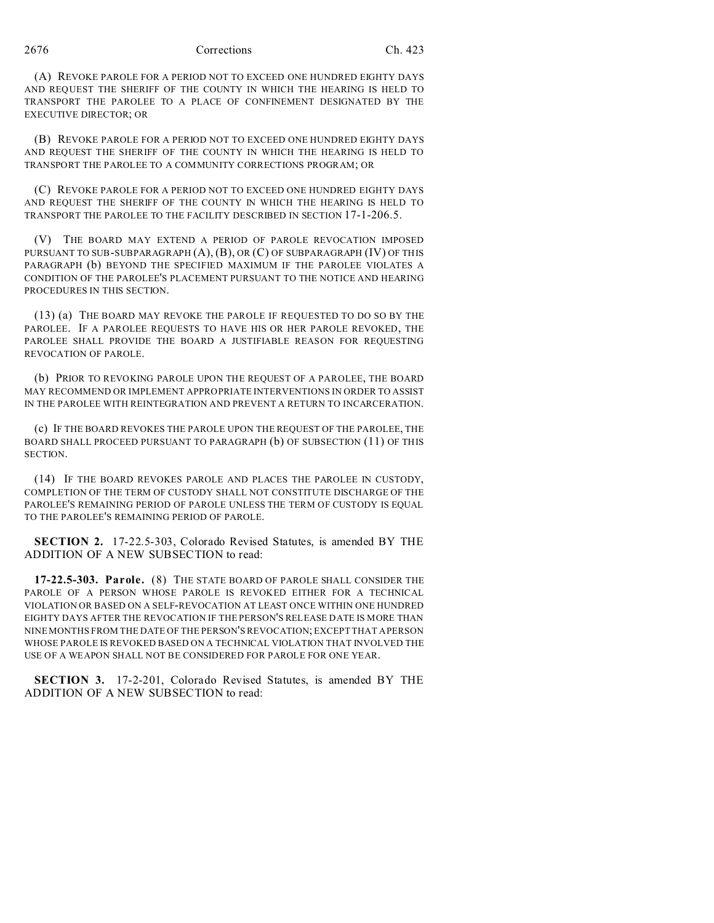#### 2676 Corrections Ch. 423

(A) REVOKE PAROLE FOR A PERIOD NOT TO EXCEED ONE HUNDRED EIGHTY DAYS AND REQUEST THE SHERIFF OF THE COUNTY IN WHICH THE HEARING IS HELD TO TRANSPORT THE PAROLEE TO A PLACE OF CONFINEMENT DESIGNATED BY THE EXECUTIVE DIRECTOR; OR

(B) REVOKE PAROLE FOR A PERIOD NOT TO EXCEED ONE HUNDRED EIGHTY DAYS AND REQUEST THE SHERIFF OF THE COUNTY IN WHICH THE HEARING IS HELD TO TRANSPORT THE PAROLEE TO A COMMUNITY CORRECTIONS PROGRAM; OR

(C) REVOKE PAROLE FOR A PERIOD NOT TO EXCEED ONE HUNDRED EIGHTY DAYS AND REQUEST THE SHERIFF OF THE COUNTY IN WHICH THE HEARING IS HELD TO TRANSPORT THE PAROLEE TO THE FACILITY DESCRIBED IN SECTION 17-1-206.5.

(V) THE BOARD MAY EXTEND A PERIOD OF PAROLE REVOCATION IMPOSED PURSUANT TO SUB-SUBPARAGRAPH (A), (B), OR (C) OF SUBPARAGRAPH (IV) OF THIS PARAGRAPH (b) BEYOND THE SPECIFIED MAXIMUM IF THE PAROLEE VIOLATES A CONDITION OF THE PAROLEE'S PLACEMENT PURSUANT TO THE NOTICE AND HEARING PROCEDURES IN THIS SECTION.

(13) (a) THE BOARD MAY REVOKE THE PAROLE IF REQUESTED TO DO SO BY THE PAROLEE. IF A PAROLEE REQUESTS TO HAVE HIS OR HER PAROLE REVOKED, THE PAROLEE SHALL PROVIDE THE BOARD A JUSTIFIABLE REASON FOR REQUESTING REVOCATION OF PAROLE.

(b) PRIOR TO REVOKING PAROLE UPON THE REQUEST OF A PAROLEE, THE BOARD MAY RECOMMEND OR IMPLEMENT APPROPRIATE INTERVENTIONS IN ORDER TO ASSIST IN THE PAROLEE WITH REINTEGRATION AND PREVENT A RETURN TO INCARCERATION.

(c) IF THE BOARD REVOKES THE PAROLE UPON THE REQUEST OF THE PAROLEE, THE BOARD SHALL PROCEED PURSUANT TO PARAGRAPH (b) OF SUBSECTION (11) OF THIS SECTION.

(14) IF THE BOARD REVOKES PAROLE AND PLACES THE PAROLEE IN CUSTODY, COMPLETION OF THE TERM OF CUSTODY SHALL NOT CONSTITUTE DISCHARGE OF THE PAROLEE'S REMAINING PERIOD OF PAROLE UNLESS THE TERM OF CUSTODY IS EQUAL TO THE PAROLEE'S REMAINING PERIOD OF PAROLE.

**SECTION 2.** 17-22.5-303, Colorado Revised Statutes, is amended BY THE ADDITION OF A NEW SUBSECTION to read:

**17-22.5-303. Parole.** (8) THE STATE BOARD OF PAROLE SHALL CONSIDER THE PAROLE OF A PERSON WHOSE PAROLE IS REVOKED EITHER FOR A TECHNICAL VIOLATION OR BASED ON A SELF-REVOCATION AT LEAST ONCE WITHIN ONE HUNDRED EIGHTY DAYS AFTER THE REVOCATION IF THE PERSON'S RELEASE DATE IS MORE THAN NINE MONTHS FROM THE DATE OF THE PERSON'S REVOCATION; EXCEPT THAT A PERSON WHOSE PAROLE IS REVOKED BASED ON A TECHNICAL VIOLATION THAT INVOLVED THE USE OF A WEAPON SHALL NOT BE CONSIDERED FOR PAROLE FOR ONE YEAR.

**SECTION 3.** 17-2-201, Colorado Revised Statutes, is amended BY THE ADDITION OF A NEW SUBSECTION to read: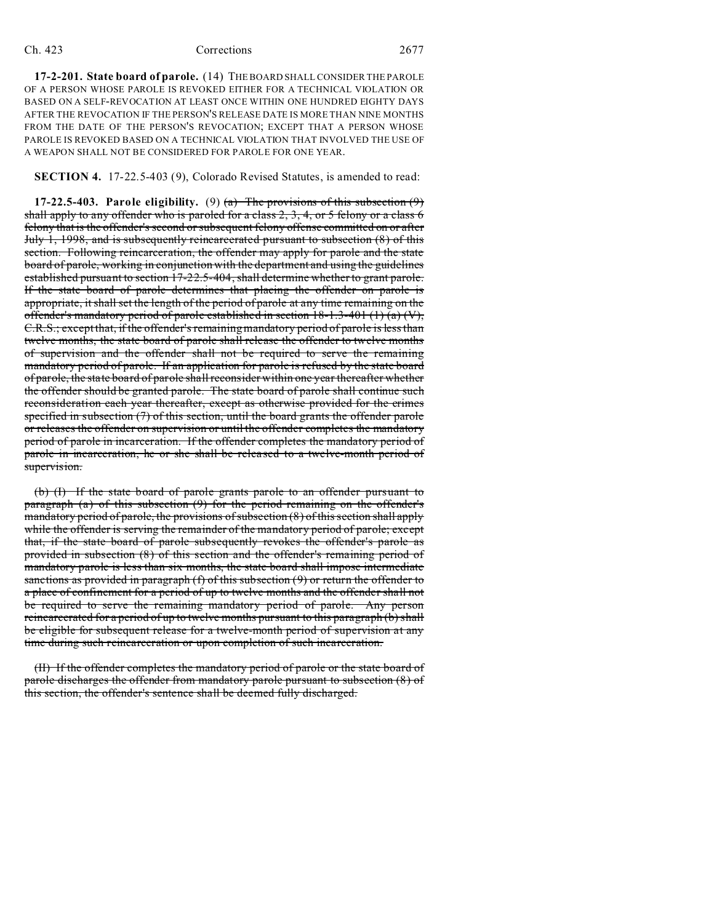### Ch. 423 Corrections 2677

**17-2-201. State board of parole.** (14) THE BOARD SHALL CONSIDER THE PAROLE OF A PERSON WHOSE PAROLE IS REVOKED EITHER FOR A TECHNICAL VIOLATION OR BASED ON A SELF-REVOCATION AT LEAST ONCE WITHIN ONE HUNDRED EIGHTY DAYS AFTER THE REVOCATION IF THE PERSON'S RELEASE DATE IS MORE THAN NINE MONTHS FROM THE DATE OF THE PERSON'S REVOCATION; EXCEPT THAT A PERSON WHOSE PAROLE IS REVOKED BASED ON A TECHNICAL VIOLATION THAT INVOLVED THE USE OF A WEAPON SHALL NOT BE CONSIDERED FOR PAROLE FOR ONE YEAR.

**SECTION 4.** 17-22.5-403 (9), Colorado Revised Statutes, is amended to read:

**17-22.5-403.** Parole eligibility. (9)  $\overline{a}$  The provisions of this subsection (9) shall apply to any offender who is paroled for a class  $2, 3, 4$ , or 5 felony or a class 6 felony that is the offender's second or subsequent felony offense committed on or after July 1, 1998, and is subsequently reincarcerated pursuant to subsection (8) of this section. Following reincarceration, the offender may apply for parole and the state board of parole, working in conjunction with the department and using the guidelines established pursuant to section 17-22.5-404, shall determine whether to grant parole. If the state board of parole determines that placing the offender on parole is appropriate, it shall set the length of the period of parole at any time remaining on the offender's mandatory period of parole established in section  $18-1.3-401(1)$  (a) (V), C.R.S.; except that, if the offender's remaining mandatory period of parole is less than twelve months, the state board of parole shall release the offender to twelve months of supervision and the offender shall not be required to serve the remaining mandatory period of parole. If an application for parole is refused by the state board of parole, the state board of parole shall reconsider within one year thereafter whether the offender should be granted parole. The state board of parole shall continue such reconsideration each year thereafter, except as otherwise provided for the crimes specified in subsection (7) of this section, until the board grants the offender parole or releases the offender on supervision or until the offender completes the mandatory period of parole in incarceration. If the offender completes the mandatory period of parole in incarceration, he or she shall be released to a twelve-month period of supervision.

(b) (I) If the state board of parole grants parole to an offender pursuant to paragraph (a) of this subsection (9) for the period remaining on the offender's mandatory period of parole, the provisions of subsection (8) of this section shall apply while the offender is serving the remainder of the mandatory period of parole; except that, if the state board of parole subsequently revokes the offender's parole as provided in subsection (8) of this section and the offender's remaining period of mandatory parole is less than six months, the state board shall impose intermediate sanctions as provided in paragraph (f) of this subsection (9) or return the offender to a place of confinement for a period of up to twelve months and the offender shall not be required to serve the remaining mandatory period of parole. Any person reincarcerated for a period of up to twelve months pursuant to this paragraph (b) shall be eligible for subsequent release for a twelve-month period of supervision at any time during such reincarceration or upon completion of such incarceration.

(II) If the offender completes the mandatory period of parole or the state board of parole discharges the offender from mandatory parole pursuant to subsection (8) of this section, the offender's sentence shall be deemed fully discharged.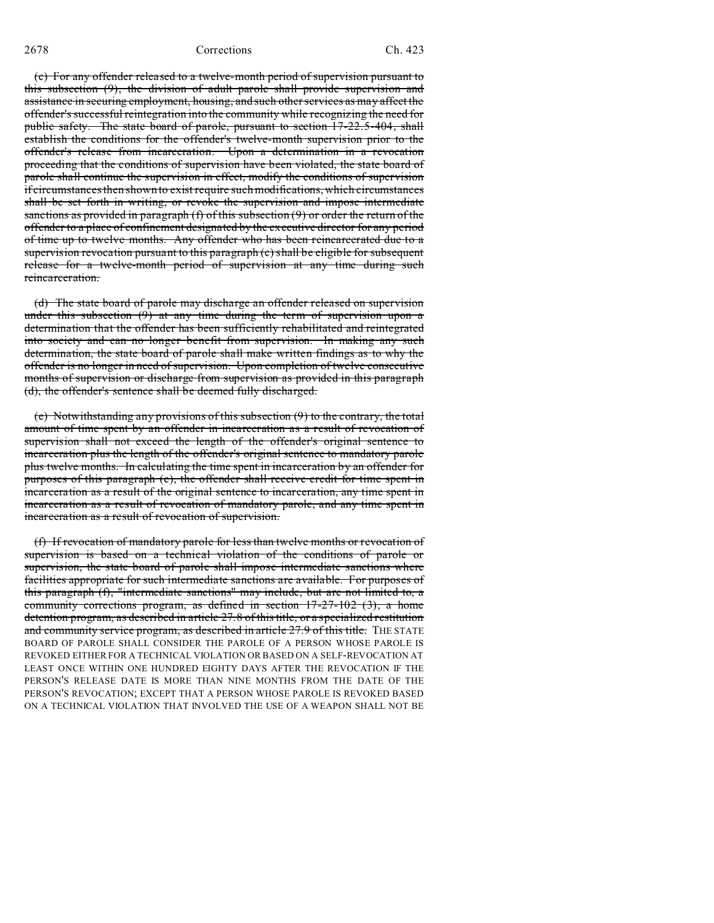2678 Corrections Ch. 423

(c) For any offender released to a twelve-month period of supervision pursuant to this subsection (9), the division of adult parole shall provide supervision and assistance in securing employment, housing, and such other services as may affect the offender's successful reintegration into the community while recognizing the need for public safety. The state board of parole, pursuant to section 17-22.5-404, shall establish the conditions for the offender's twelve-month supervision prior to the offender's release from incarceration. Upon a determination in a revocation proceeding that the conditions of supervision have been violated, the state board of parole shall continue the supervision in effect, modify the conditions of supervision if circumstances then shown to exist require such modifications, which circumstances shall be set forth in writing, or revoke the supervision and impose intermediate sanctions as provided in paragraph  $(f)$  of this subsection  $(9)$  or order the return of the offender to a place of confinement designated by the executive director for any period of time up to twelve months. Any offender who has been reincarcerated due to a supervision revocation pursuant to this paragraph (c) shall be eligible for subsequent release for a twelve-month period of supervision at any time during such reincarceration.

(d) The state board of parole may discharge an offender released on supervision under this subsection  $(9)$  at any time during the term of supervision upon a determination that the offender has been sufficiently rehabilitated and reintegrated into society and can no longer benefit from supervision. In making any such determination, the state board of parole shall make written findings as to why the offender is no longer in need of supervision. Upon completion of twelve consecutive months of supervision or discharge from supervision as provided in this paragraph (d), the offender's sentence shall be deemed fully discharged.

(e) Notwithstanding any provisions of this subsection (9) to the contrary, the total amount of time spent by an offender in incarceration as a result of revocation of supervision shall not exceed the length of the offender's original sentence to incarceration plus the length of the offender's original sentence to mandatory parole plus twelve months. In calculating the time spent in incarceration by an offender for purposes of this paragraph (e), the offender shall receive credit for time spent in incarceration as a result of the original sentence to incarceration, any time spent in incarceration as a result of revocation of mandatory parole, and any time spent in incarceration as a result of revocation of supervision.

(f) If revocation of mandatory parole for less than twelve months or revocation of supervision is based on a technical violation of the conditions of parole or supervision, the state board of parole shall impose intermediate sanctions where facilities appropriate for such intermediate sanctions are available. For purposes of this paragraph (f), "intermediate sanctions" may include, but are not limited to, a community corrections program, as defined in section 17-27-102 (3), a home detention program, as described in article 27.8 of this title, or a specialized restitution and community service program, as described in article 27.9 of this title. THE STATE BOARD OF PAROLE SHALL CONSIDER THE PAROLE OF A PERSON WHOSE PAROLE IS REVOKED EITHER FOR A TECHNICAL VIOLATION OR BASED ON A SELF-REVOCATION AT LEAST ONCE WITHIN ONE HUNDRED EIGHTY DAYS AFTER THE REVOCATION IF THE PERSON'S RELEASE DATE IS MORE THAN NINE MONTHS FROM THE DATE OF THE PERSON'S REVOCATION; EXCEPT THAT A PERSON WHOSE PAROLE IS REVOKED BASED ON A TECHNICAL VIOLATION THAT INVOLVED THE USE OF A WEAPON SHALL NOT BE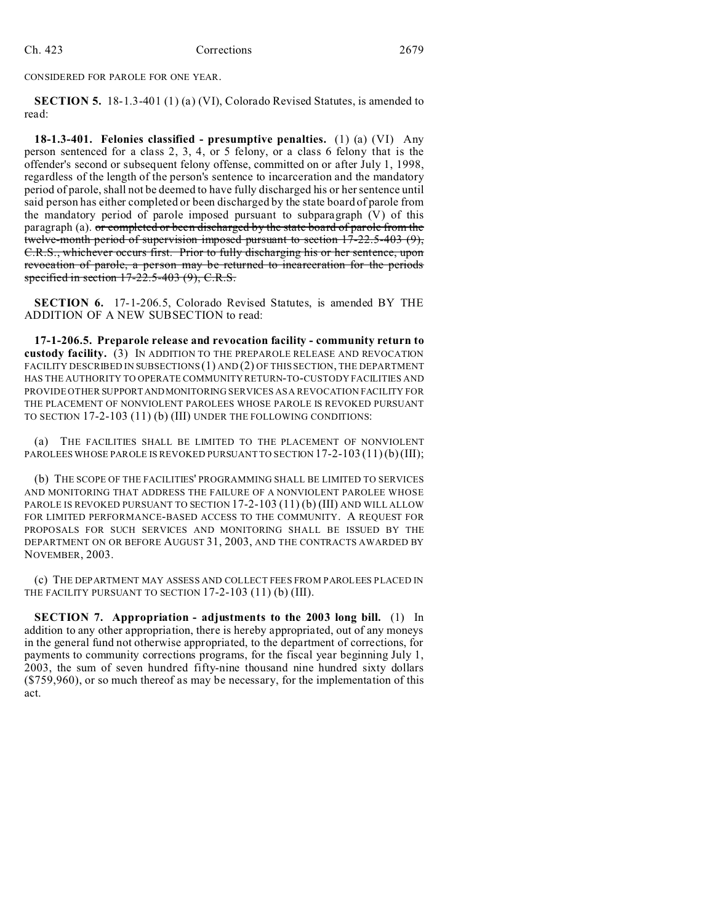CONSIDERED FOR PAROLE FOR ONE YEAR.

**SECTION 5.** 18-1.3-401 (1) (a) (VI), Colorado Revised Statutes, is amended to read:

**18-1.3-401. Felonies classified - presumptive penalties.** (1) (a) (VI) Any person sentenced for a class 2, 3, 4, or 5 felony, or a class 6 felony that is the offender's second or subsequent felony offense, committed on or after July 1, 1998, regardless of the length of the person's sentence to incarceration and the mandatory period of parole, shall not be deemed to have fully discharged his or her sentence until said person has either completed or been discharged by the state board of parole from the mandatory period of parole imposed pursuant to subparagraph (V) of this paragraph (a). or completed or been discharged by the state board of parole from the twelve-month period of supervision imposed pursuant to section 17-22.5-403 (9), C.R.S., whichever occurs first. Prior to fully discharging his or her sentence, upon revocation of parole, a person may be returned to incarceration for the periods specified in section 17-22.5-403 (9), C.R.S.

**SECTION 6.** 17-1-206.5, Colorado Revised Statutes, is amended BY THE ADDITION OF A NEW SUBSECTION to read:

**17-1-206.5. Preparole release and revocation facility - community return to custody facility.** (3) IN ADDITION TO THE PREPAROLE RELEASE AND REVOCATION FACILITY DESCRIBED IN SUBSECTIONS (1) AND (2) OF THIS SECTION, THE DEPARTMENT HAS THE AUTHORITY TO OPERATE COMMUNITY RETURN-TO-CUSTODY FACILITIES AND PROVIDE OTHER SUPPORTANDMONITORING SERVICES AS A REVOCATION FACILITY FOR THE PLACEMENT OF NONVIOLENT PAROLEES WHOSE PAROLE IS REVOKED PURSUANT TO SECTION 17-2-103 (11) (b) (III) UNDER THE FOLLOWING CONDITIONS:

(a) THE FACILITIES SHALL BE LIMITED TO THE PLACEMENT OF NONVIOLENT PAROLEES WHOSE PAROLE IS REVOKED PURSUANT TO SECTION 17-2-103 (11) (b) (III);

(b) THE SCOPE OF THE FACILITIES' PROGRAMMING SHALL BE LIMITED TO SERVICES AND MONITORING THAT ADDRESS THE FAILURE OF A NONVIOLENT PAROLEE WHOSE PAROLE IS REVOKED PURSUANT TO SECTION 17-2-103 (11) (b) (III) AND WILL ALLOW FOR LIMITED PERFORMANCE-BASED ACCESS TO THE COMMUNITY. A REQUEST FOR PROPOSALS FOR SUCH SERVICES AND MONITORING SHALL BE ISSUED BY THE DEPARTMENT ON OR BEFORE AUGUST 31, 2003, AND THE CONTRACTS AWARDED BY NOVEMBER, 2003.

(c) THE DEPARTMENT MAY ASSESS AND COLLECT FEES FROM PAROLEES PLACED IN THE FACILITY PURSUANT TO SECTION 17-2-103 (11) (b) (III).

**SECTION 7. Appropriation - adjustments to the 2003 long bill.** (1) In addition to any other appropriation, there is hereby appropriated, out of any moneys in the general fund not otherwise appropriated, to the department of corrections, for payments to community corrections programs, for the fiscal year beginning July 1, 2003, the sum of seven hundred fifty-nine thousand nine hundred sixty dollars (\$759,960), or so much thereof as may be necessary, for the implementation of this act.